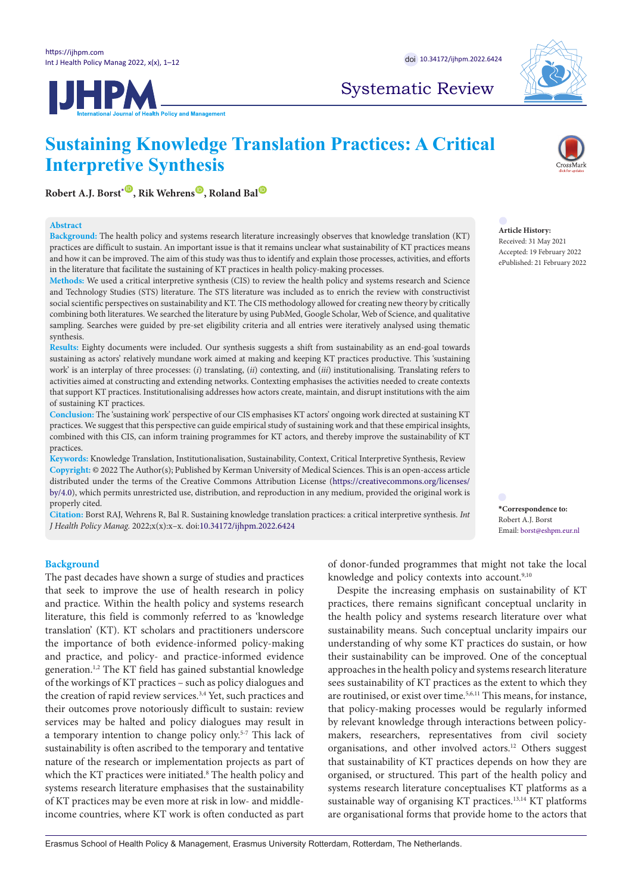**IJHPM** 



Systematic Review

# **Sustaining Knowledge Translation Practices: A Critical Interpretive Synthesis**

 $R$ obert A.J. Borst<sup>[\\*](#page-0-0)</sub><sup>**.**</sup>, Rik Wehrens<sup><sup>1</sup>, Roland Bal<sup><sup>1</sup></sup></sup></sup>

### **Abstract**

**Background:** The health policy and systems research literature increasingly observes that knowledge translation (KT) practices are difficult to sustain. An important issue is that it remains unclear what sustainability of KT practices means and how it can be improved. The aim of this study was thus to identify and explain those processes, activities, and efforts in the literature that facilitate the sustaining of KT practices in health policy-making processes.

**Methods:** We used a critical interpretive synthesis (CIS) to review the health policy and systems research and Science and Technology Studies (STS) literature. The STS literature was included as to enrich the review with constructivist social scientific perspectives on sustainability and KT. The CIS methodology allowed for creating new theory by critically combining both literatures. We searched the literature by using PubMed, Google Scholar, Web of Science, and qualitative sampling. Searches were guided by pre-set eligibility criteria and all entries were iteratively analysed using thematic synthesis.

**Results:** Eighty documents were included. Our synthesis suggests a shift from sustainability as an end-goal towards sustaining as actors' relatively mundane work aimed at making and keeping KT practices productive. This 'sustaining work' is an interplay of three processes: (*i*) translating, (*ii*) contexting, and (*iii*) institutionalising. Translating refers to activities aimed at constructing and extending networks. Contexting emphasises the activities needed to create contexts that support KT practices. Institutionalising addresses how actors create, maintain, and disrupt institutions with the aim of sustaining KT practices.

**Conclusion:** The 'sustaining work' perspective of our CIS emphasises KT actors' ongoing work directed at sustaining KT practices. We suggest that this perspective can guide empirical study of sustaining work and that these empirical insights, combined with this CIS, can inform training programmes for KT actors, and thereby improve the sustainability of KT practices.

**Keywords:** Knowledge Translation, Institutionalisation, Sustainability, Context, Critical Interpretive Synthesis, Review **Copyright:** © 2022 The Author(s); Published by Kerman University of Medical Sciences. This is an open-access article distributed under the terms of the Creative Commons Attribution License [\(https://creativecommons.org/licenses/](https://creativecommons.org/licenses/by/4.0/) [by/4.0\)](https://creativecommons.org/licenses/by/4.0/), which permits unrestricted use, distribution, and reproduction in any medium, provided the original work is properly cited.

**Citation:** Borst RAJ, Wehrens R, Bal R. Sustaining knowledge translation practices: a critical interpretive synthesis. *Int J Health Policy Manag.* 2022;x(x):x–x. doi[:10.34172/ijhpm.2022.6424](https://doi.org/10.34172/ijhpm.2022.6424)

#### **Background**

The past decades have shown a surge of studies and practices that seek to improve the use of health research in policy and practice. Within the health policy and systems research literature, this field is commonly referred to as 'knowledge translation' (KT). KT scholars and practitioners underscore the importance of both evidence-informed policy-making and practice, and policy- and practice-informed evidence generation.1,2 The KT field has gained substantial knowledge of the workings of KT practices – such as policy dialogues and the creation of rapid review services.3,4 Yet, such practices and their outcomes prove notoriously difficult to sustain: review services may be halted and policy dialogues may result in a temporary intention to change policy only.5-7 This lack of sustainability is often ascribed to the temporary and tentative nature of the research or implementation projects as part of which the KT practices were initiated.<sup>8</sup> The health policy and systems research literature emphasises that the sustainability of KT practices may be even more at risk in low- and middleincome countries, where KT work is often conducted as part

of donor-funded programmes that might not take the local knowledge and policy contexts into account.<sup>9,10</sup>

Despite the increasing emphasis on sustainability of KT practices, there remains significant conceptual unclarity in the health policy and systems research literature over what sustainability means. Such conceptual unclarity impairs our understanding of why some KT practices do sustain, or how their sustainability can be improved. One of the conceptual approaches in the health policy and systems research literature sees sustainability of KT practices as the extent to which they are routinised, or exist over time.5,6,11 This means, for instance, that policy-making processes would be regularly informed by relevant knowledge through interactions between policymakers, researchers, representatives from civil society organisations, and other involved actors.<sup>12</sup> Others suggest that sustainability of KT practices depends on how they are organised, or structured. This part of the health policy and systems research literature conceptualises KT platforms as a sustainable way of organising KT practices.<sup>13,14</sup> KT platforms are organisational forms that provide home to the actors that



**Article History:** Received: 31 May 2021 Accepted: 19 February 2022 ePublished: 21 February 2022

<span id="page-0-0"></span>**\*Correspondence to:** Robert A.J. Borst Email: borst@eshpm.eur.nl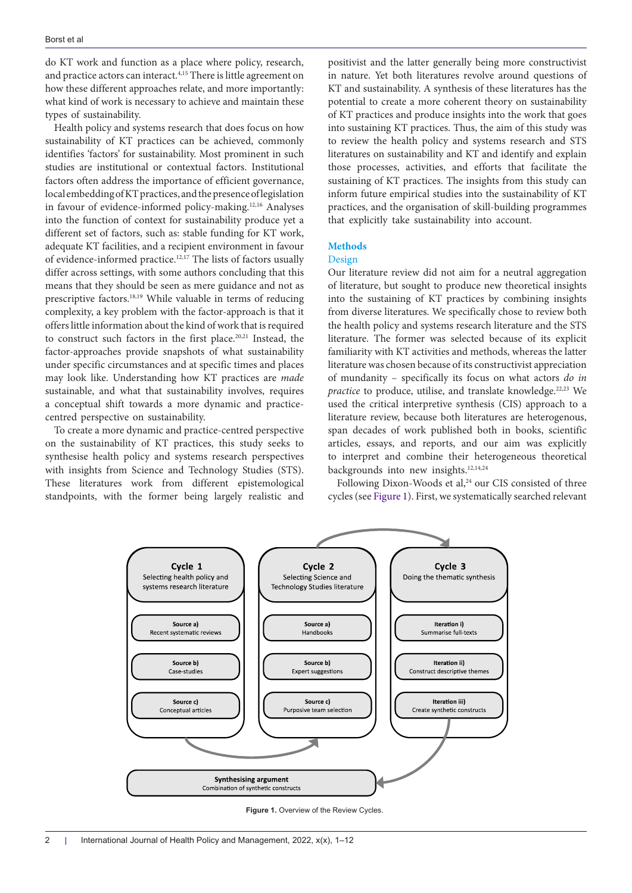do KT work and function as a place where policy, research, and practice actors can interact.<sup>4,15</sup> There is little agreement on how these different approaches relate, and more importantly: what kind of work is necessary to achieve and maintain these types of sustainability.

Health policy and systems research that does focus on how sustainability of KT practices can be achieved, commonly identifies 'factors' for sustainability. Most prominent in such studies are institutional or contextual factors. Institutional factors often address the importance of efficient governance, local embedding of KT practices, and the presence of legislation in favour of evidence-informed policy-making.12,16 Analyses into the function of context for sustainability produce yet a different set of factors, such as: stable funding for KT work, adequate KT facilities, and a recipient environment in favour of evidence-informed practice.12,17 The lists of factors usually differ across settings, with some authors concluding that this means that they should be seen as mere guidance and not as prescriptive factors.18,19 While valuable in terms of reducing complexity, a key problem with the factor-approach is that it offers little information about the kind of work that is required to construct such factors in the first place.20,21 Instead, the factor-approaches provide snapshots of what sustainability under specific circumstances and at specific times and places may look like. Understanding how KT practices are *made* sustainable, and what that sustainability involves, requires a conceptual shift towards a more dynamic and practicecentred perspective on sustainability.

To create a more dynamic and practice-centred perspective on the sustainability of KT practices, this study seeks to synthesise health policy and systems research perspectives with insights from Science and Technology Studies (STS). These literatures work from different epistemological standpoints, with the former being largely realistic and

positivist and the latter generally being more constructivist in nature. Yet both literatures revolve around questions of KT and sustainability. A synthesis of these literatures has the potential to create a more coherent theory on sustainability of KT practices and produce insights into the work that goes into sustaining KT practices. Thus, the aim of this study was to review the health policy and systems research and STS literatures on sustainability and KT and identify and explain those processes, activities, and efforts that facilitate the sustaining of KT practices. The insights from this study can inform future empirical studies into the sustainability of KT practices, and the organisation of skill-building programmes that explicitly take sustainability into account.

### **Methods**

## Design

Our literature review did not aim for a neutral aggregation of literature, but sought to produce new theoretical insights into the sustaining of KT practices by combining insights from diverse literatures. We specifically chose to review both the health policy and systems research literature and the STS literature. The former was selected because of its explicit familiarity with KT activities and methods, whereas the latter literature was chosen because of its constructivist appreciation of mundanity – specifically its focus on what actors *do in practice* to produce, utilise, and translate knowledge.<sup>22,23</sup> We used the critical interpretive synthesis (CIS) approach to a literature review, because both literatures are heterogenous, span decades of work published both in books, scientific articles, essays, and reports, and our aim was explicitly to interpret and combine their heterogeneous theoretical backgrounds into new insights.12,14,24

<span id="page-1-0"></span>Following Dixon-Woods et al,<sup>24</sup> our CIS consisted of three cycles (see [Figure 1](#page-1-0)). First, we systematically searched relevant



**Figure 1.** Overview of the Review Cycles.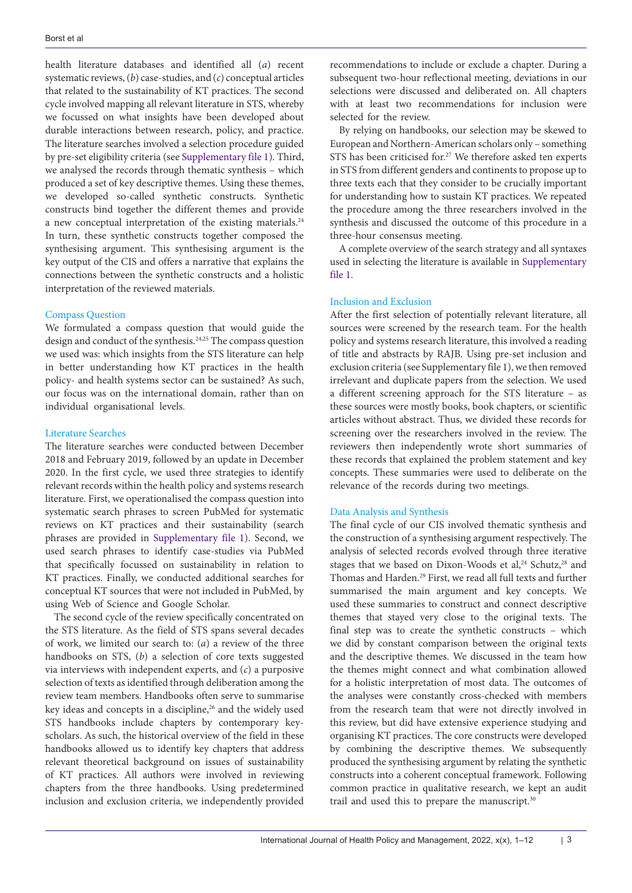health literature databases and identified all (*a*) recent systematic reviews, (*b*) case-studies, and (*c*) conceptual articles that related to the sustainability of KT practices. The second cycle involved mapping all relevant literature in STS, whereby we focussed on what insights have been developed about durable interactions between research, policy, and practice. The literature searches involved a selection procedure guided by pre-set eligibility criteria (see [Supplementary file 1](#page-9-0)). Third, we analysed the records through thematic synthesis – which produced a set of key descriptive themes. Using these themes, we developed so-called synthetic constructs. Synthetic constructs bind together the different themes and provide a new conceptual interpretation of the existing materials.<sup>24</sup> In turn, these synthetic constructs together composed the synthesising argument. This synthesising argument is the key output of the CIS and offers a narrative that explains the connections between the synthetic constructs and a holistic interpretation of the reviewed materials.

#### Compass Question

We formulated a compass question that would guide the design and conduct of the synthesis.24,25 The compass question we used was: which insights from the STS literature can help in better understanding how KT practices in the health policy- and health systems sector can be sustained? As such, our focus was on the international domain, rather than on individual organisational levels.

#### Literature Searches

The literature searches were conducted between December 2018 and February 2019, followed by an update in December 2020. In the first cycle, we used three strategies to identify relevant records within the health policy and systems research literature. First, we operationalised the compass question into systematic search phrases to screen PubMed for systematic reviews on KT practices and their sustainability (search phrases are provided in [Supplementary file 1](#page-9-0)). Second, we used search phrases to identify case-studies via PubMed that specifically focussed on sustainability in relation to KT practices. Finally, we conducted additional searches for conceptual KT sources that were not included in PubMed, by using Web of Science and Google Scholar.

The second cycle of the review specifically concentrated on the STS literature. As the field of STS spans several decades of work, we limited our search to: (*a*) a review of the three handbooks on STS, (*b*) a selection of core texts suggested via interviews with independent experts, and (*c*) a purposive selection of texts as identified through deliberation among the review team members. Handbooks often serve to summarise key ideas and concepts in a discipline,<sup>26</sup> and the widely used STS handbooks include chapters by contemporary keyscholars. As such, the historical overview of the field in these handbooks allowed us to identify key chapters that address relevant theoretical background on issues of sustainability of KT practices. All authors were involved in reviewing chapters from the three handbooks. Using predetermined inclusion and exclusion criteria, we independently provided recommendations to include or exclude a chapter. During a subsequent two-hour reflectional meeting, deviations in our selections were discussed and deliberated on. All chapters with at least two recommendations for inclusion were selected for the review.

By relying on handbooks, our selection may be skewed to European and Northern-American scholars only – something STS has been criticised for.<sup>27</sup> We therefore asked ten experts in STS from different genders and continents to propose up to three texts each that they consider to be crucially important for understanding how to sustain KT practices. We repeated the procedure among the three researchers involved in the synthesis and discussed the outcome of this procedure in a three-hour consensus meeting.

A complete overview of the search strategy and all syntaxes used in selecting the literature is available in [Supplementary](#page-9-0)  [file 1.](#page-9-0)

# Inclusion and Exclusion

After the first selection of potentially relevant literature, all sources were screened by the research team. For the health policy and systems research literature, this involved a reading of title and abstracts by RAJB. Using pre-set inclusion and exclusion criteria (see [Supplementary file 1](#page-9-0)), we then removed irrelevant and duplicate papers from the selection. We used a different screening approach for the STS literature – as these sources were mostly books, book chapters, or scientific articles without abstract. Thus, we divided these records for screening over the researchers involved in the review. The reviewers then independently wrote short summaries of these records that explained the problem statement and key concepts. These summaries were used to deliberate on the relevance of the records during two meetings.

# Data Analysis and Synthesis

The final cycle of our CIS involved thematic synthesis and the construction of a synthesising argument respectively. The analysis of selected records evolved through three iterative stages that we based on Dixon-Woods et al,<sup>24</sup> Schutz,<sup>28</sup> and Thomas and Harden.<sup>29</sup> First, we read all full texts and further summarised the main argument and key concepts. We used these summaries to construct and connect descriptive themes that stayed very close to the original texts. The final step was to create the synthetic constructs – which we did by constant comparison between the original texts and the descriptive themes. We discussed in the team how the themes might connect and what combination allowed for a holistic interpretation of most data. The outcomes of the analyses were constantly cross-checked with members from the research team that were not directly involved in this review, but did have extensive experience studying and organising KT practices. The core constructs were developed by combining the descriptive themes. We subsequently produced the synthesising argument by relating the synthetic constructs into a coherent conceptual framework. Following common practice in qualitative research, we kept an audit trail and used this to prepare the manuscript.<sup>30</sup>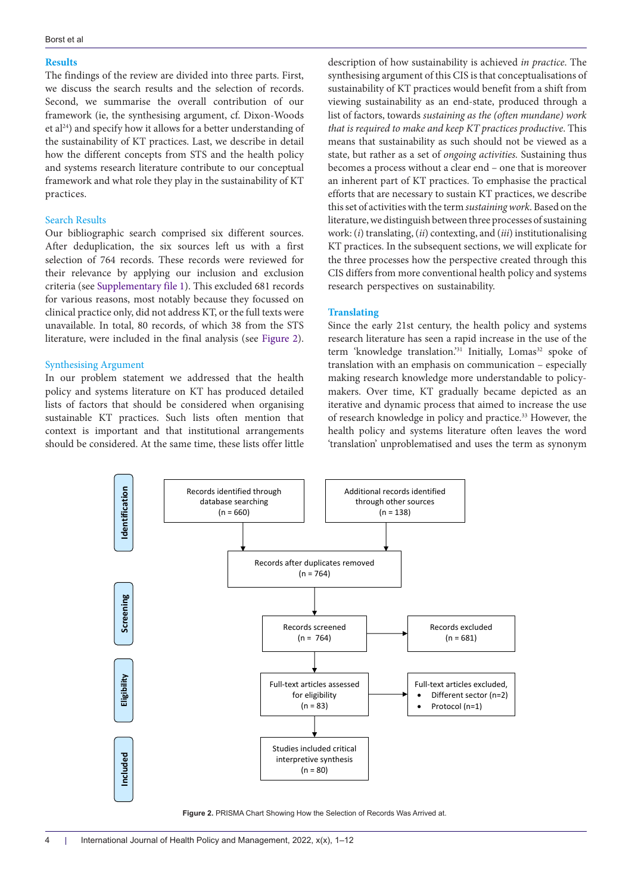#### **Results**

The findings of the review are divided into three parts. First, we discuss the search results and the selection of records. Second, we summarise the overall contribution of our framework (ie, the synthesising argument, cf. Dixon-Woods et al24) and specify how it allows for a better understanding of the sustainability of KT practices. Last, we describe in detail how the different concepts from STS and the health policy and systems research literature contribute to our conceptual framework and what role they play in the sustainability of KT practices.

#### Search Results

Our bibliographic search comprised six different sources. After deduplication, the six sources left us with a first selection of 764 records. These records were reviewed for their relevance by applying our inclusion and exclusion criteria (see [Supplementary file 1\)](#page-9-0). This excluded 681 records for various reasons, most notably because they focussed on clinical practice only, did not address KT, or the full texts were unavailable. In total, 80 records, of which 38 from the STS literature, were included in the final analysis (see [Figure 2\)](#page-3-0).

#### Synthesising Argument

In our problem statement we addressed that the health policy and systems literature on KT has produced detailed lists of factors that should be considered when organising sustainable KT practices. Such lists often mention that context is important and that institutional arrangements should be considered. At the same time, these lists offer little

description of how sustainability is achieved *in practice*. The synthesising argument of this CIS is that conceptualisations of sustainability of KT practices would benefit from a shift from viewing sustainability as an end-state, produced through a list of factors, towards *sustaining as the (often mundane) work that is required to make and keep KT practices productive*. This means that sustainability as such should not be viewed as a state, but rather as a set of *ongoing activities.* Sustaining thus becomes a process without a clear end – one that is moreover an inherent part of KT practices. To emphasise the practical efforts that are necessary to sustain KT practices, we describe this set of activities with the term *sustaining work*. Based on the literature, we distinguish between three processes of sustaining work: (*i*) translating, (*ii*) contexting, and (*iii*) institutionalising KT practices. In the subsequent sections, we will explicate for the three processes how the perspective created through this CIS differs from more conventional health policy and systems research perspectives on sustainability.

#### **Translating**

<span id="page-3-0"></span>Since the early 21st century, the health policy and systems research literature has seen a rapid increase in the use of the term 'knowledge translation.'<sup>31</sup> Initially, Lomas<sup>32</sup> spoke of translation with an emphasis on communication – especially making research knowledge more understandable to policymakers. Over time, KT gradually became depicted as an iterative and dynamic process that aimed to increase the use of research knowledge in policy and practice.33 However, the health policy and systems literature often leaves the word 'translation' unproblematised and uses the term as synonym



**Figure 2.** PRISMA Chart Showing How the Selection of Records Was Arrived at.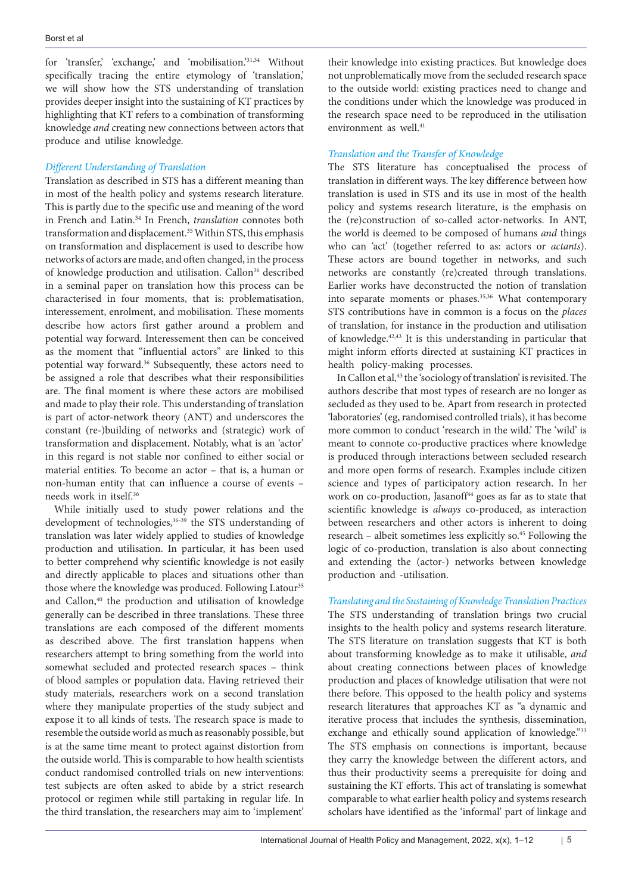for 'transfer,' 'exchange,' and 'mobilisation.'31,34 Without specifically tracing the entire etymology of 'translation,' we will show how the STS understanding of translation provides deeper insight into the sustaining of KT practices by highlighting that KT refers to a combination of transforming knowledge *and* creating new connections between actors that produce and utilise knowledge.

## *Different Understanding of Translation*

Translation as described in STS has a different meaning than in most of the health policy and systems research literature. This is partly due to the specific use and meaning of the word in French and Latin.34 In French, *translation* connotes both transformation and displacement.<sup>35</sup> Within STS, this emphasis on transformation and displacement is used to describe how networks of actors are made, and often changed, in the process of knowledge production and utilisation. Callon<sup>36</sup> described in a seminal paper on translation how this process can be characterised in four moments, that is: problematisation, interessement, enrolment, and mobilisation. These moments describe how actors first gather around a problem and potential way forward. Interessement then can be conceived as the moment that "influential actors" are linked to this potential way forward.36 Subsequently, these actors need to be assigned a role that describes what their responsibilities are. The final moment is where these actors are mobilised and made to play their role. This understanding of translation is part of actor-network theory (ANT) and underscores the constant (re-)building of networks and (strategic) work of transformation and displacement. Notably, what is an 'actor' in this regard is not stable nor confined to either social or material entities. To become an actor – that is, a human or non-human entity that can influence a course of events – needs work in itself.36

While initially used to study power relations and the development of technologies,<sup>36-39</sup> the STS understanding of translation was later widely applied to studies of knowledge production and utilisation. In particular, it has been used to better comprehend why scientific knowledge is not easily and directly applicable to places and situations other than those where the knowledge was produced. Following Latour<sup>35</sup> and Callon,<sup>40</sup> the production and utilisation of knowledge generally can be described in three translations. These three translations are each composed of the different moments as described above. The first translation happens when researchers attempt to bring something from the world into somewhat secluded and protected research spaces – think of blood samples or population data. Having retrieved their study materials, researchers work on a second translation where they manipulate properties of the study subject and expose it to all kinds of tests. The research space is made to resemble the outside world as much as reasonably possible, but is at the same time meant to protect against distortion from the outside world. This is comparable to how health scientists conduct randomised controlled trials on new interventions: test subjects are often asked to abide by a strict research protocol or regimen while still partaking in regular life. In the third translation, the researchers may aim to 'implement'

their knowledge into existing practices. But knowledge does not unproblematically move from the secluded research space to the outside world: existing practices need to change and the conditions under which the knowledge was produced in the research space need to be reproduced in the utilisation environment as well.<sup>41</sup>

## *Translation and the Transfer of Knowledge*

The STS literature has conceptualised the process of translation in different ways. The key difference between how translation is used in STS and its use in most of the health policy and systems research literature, is the emphasis on the (re)construction of so-called actor-networks. In ANT, the world is deemed to be composed of humans *and* things who can 'act' (together referred to as: actors or *actants*). These actors are bound together in networks, and such networks are constantly (re)created through translations. Earlier works have deconstructed the notion of translation into separate moments or phases.<sup>35,36</sup> What contemporary STS contributions have in common is a focus on the *places* of translation, for instance in the production and utilisation of knowledge.42,43 It is this understanding in particular that might inform efforts directed at sustaining KT practices in health policy-making processes.

In Callon et al,<sup>43</sup> the 'sociology of translation' is revisited. The authors describe that most types of research are no longer as secluded as they used to be. Apart from research in protected 'laboratories' (eg, randomised controlled trials), it has become more common to conduct 'research in the wild.' The 'wild' is meant to connote co-productive practices where knowledge is produced through interactions between secluded research and more open forms of research. Examples include citizen science and types of participatory action research. In her work on co-production, Jasanoff $44$  goes as far as to state that scientific knowledge is *always* co-produced, as interaction between researchers and other actors is inherent to doing research – albeit sometimes less explicitly so.45 Following the logic of co-production, translation is also about connecting and extending the (actor-) networks between knowledge production and -utilisation.

*Translating and the Sustaining of Knowledge Translation Practices* The STS understanding of translation brings two crucial insights to the health policy and systems research literature. The STS literature on translation suggests that KT is both about transforming knowledge as to make it utilisable, *and* about creating connections between places of knowledge production and places of knowledge utilisation that were not there before. This opposed to the health policy and systems research literatures that approaches KT as "a dynamic and iterative process that includes the synthesis, dissemination, exchange and ethically sound application of knowledge."33 The STS emphasis on connections is important, because they carry the knowledge between the different actors, and thus their productivity seems a prerequisite for doing and sustaining the KT efforts. This act of translating is somewhat comparable to what earlier health policy and systems research scholars have identified as the 'informal' part of linkage and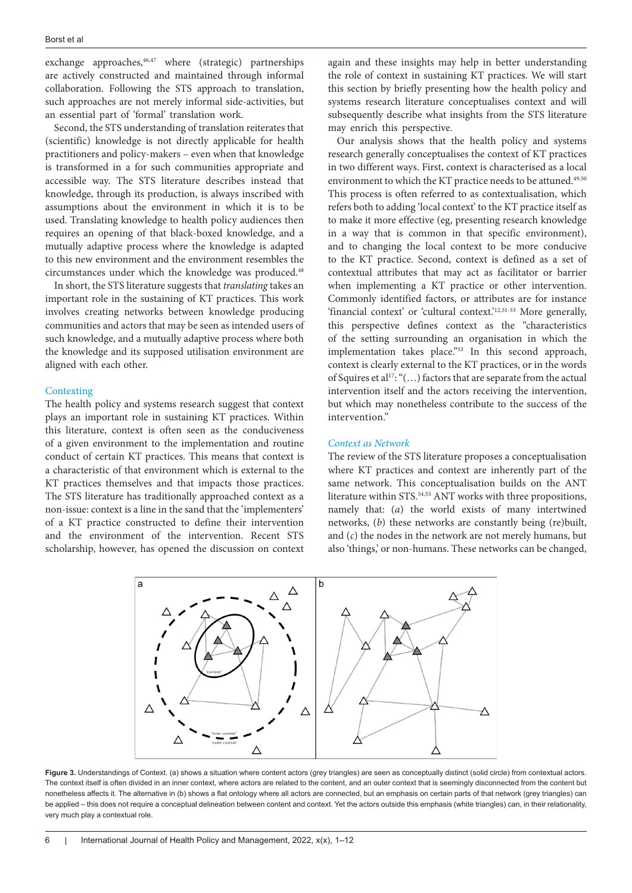exchange approaches, $46,47$  where (strategic) partnerships are actively constructed and maintained through informal collaboration. Following the STS approach to translation, such approaches are not merely informal side-activities, but an essential part of 'formal' translation work.

Second, the STS understanding of translation reiterates that (scientific) knowledge is not directly applicable for health practitioners and policy-makers – even when that knowledge is transformed in a for such communities appropriate and accessible way. The STS literature describes instead that knowledge, through its production, is always inscribed with assumptions about the environment in which it is to be used. Translating knowledge to health policy audiences then requires an opening of that black-boxed knowledge, and a mutually adaptive process where the knowledge is adapted to this new environment and the environment resembles the circumstances under which the knowledge was produced.48

In short, the STS literature suggests that *translating* takes an important role in the sustaining of KT practices. This work involves creating networks between knowledge producing communities and actors that may be seen as intended users of such knowledge, and a mutually adaptive process where both the knowledge and its supposed utilisation environment are aligned with each other.

#### **Contexting**

The health policy and systems research suggest that context plays an important role in sustaining KT practices. Within this literature, context is often seen as the conduciveness of a given environment to the implementation and routine conduct of certain KT practices. This means that context is a characteristic of that environment which is external to the KT practices themselves and that impacts those practices. The STS literature has traditionally approached context as a non-issue: context is a line in the sand that the 'implementers' of a KT practice constructed to define their intervention and the environment of the intervention. Recent STS scholarship, however, has opened the discussion on context

again and these insights may help in better understanding the role of context in sustaining KT practices. We will start this section by briefly presenting how the health policy and systems research literature conceptualises context and will subsequently describe what insights from the STS literature may enrich this perspective.

Our analysis shows that the health policy and systems research generally conceptualises the context of KT practices in two different ways. First, context is characterised as a local environment to which the KT practice needs to be attuned.<sup>49,50</sup> This process is often referred to as contextualisation, which refers both to adding 'local context' to the KT practice itself as to make it more effective (eg, presenting research knowledge in a way that is common in that specific environment), and to changing the local context to be more conducive to the KT practice. Second, context is defined as a set of contextual attributes that may act as facilitator or barrier when implementing a KT practice or other intervention. Commonly identified factors, or attributes are for instance 'financial context' or 'cultural context.'12,51-53 More generally, this perspective defines context as the "characteristics of the setting surrounding an organisation in which the implementation takes place."<sup>53</sup> In this second approach, context is clearly external to the KT practices, or in the words of Squires et al<sup>17</sup>: " $(...)$  factors that are separate from the actual intervention itself and the actors receiving the intervention, but which may nonetheless contribute to the success of the intervention."

#### *Context as Network*

<span id="page-5-0"></span>The review of the STS literature proposes a conceptualisation where KT practices and context are inherently part of the same network. This conceptualisation builds on the ANT literature within STS.<sup>54,55</sup> ANT works with three propositions, namely that: (*a*) the world exists of many intertwined networks, (*b*) these networks are constantly being (re)built, and (*c*) the nodes in the network are not merely humans, but also 'things,' or non-humans. These networks can be changed,



Figure 3. Understandings of Context. (a) shows a situation where content actors (grey triangles) are seen as conceptually distinct (solid circle) from contextual actors. The context itself is often divided in an inner context, where actors are related to the content, and an outer context that is seemingly disconnected from the content but nonetheless affects it. The alternative in (b) shows a flat ontology where all actors are connected, but an emphasis on certain parts of that network (grey triangles) can be applied – this does not require a conceptual delineation between content and context. Yet the actors outside this emphasis (white triangles) can, in their relationality, very much play a contextual role.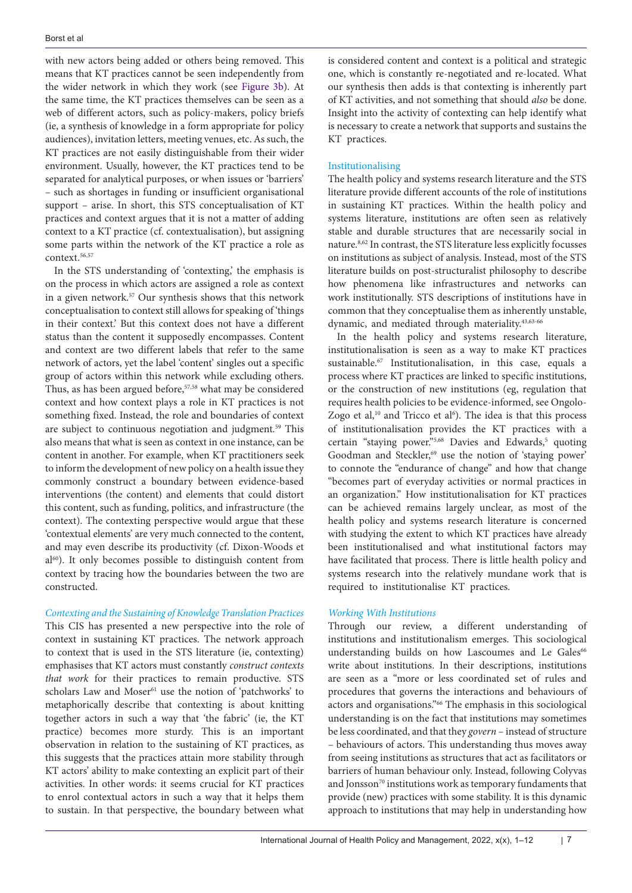with new actors being added or others being removed. This means that KT practices cannot be seen independently from the wider network in which they work (see [Figure 3b](#page-5-0)). At the same time, the KT practices themselves can be seen as a web of different actors, such as policy-makers, policy briefs (ie, a synthesis of knowledge in a form appropriate for policy audiences), invitation letters, meeting venues, etc. As such, the KT practices are not easily distinguishable from their wider environment. Usually, however, the KT practices tend to be separated for analytical purposes, or when issues or 'barriers' – such as shortages in funding or insufficient organisational support – arise. In short, this STS conceptualisation of KT practices and context argues that it is not a matter of adding context to a KT practice (cf. contextualisation), but assigning some parts within the network of the KT practice a role as context.56,57

In the STS understanding of 'contexting,' the emphasis is on the process in which actors are assigned a role as context in a given network.57 Our synthesis shows that this network conceptualisation to context still allows for speaking of 'things in their context.' But this context does not have a different status than the content it supposedly encompasses. Content and context are two different labels that refer to the same network of actors, yet the label 'content' singles out a specific group of actors within this network while excluding others. Thus, as has been argued before, $57,58$  what may be considered context and how context plays a role in KT practices is not something fixed. Instead, the role and boundaries of context are subject to continuous negotiation and judgment.<sup>59</sup> This also means that what is seen as context in one instance, can be content in another. For example, when KT practitioners seek to inform the development of new policy on a health issue they commonly construct a boundary between evidence-based interventions (the content) and elements that could distort this content, such as funding, politics, and infrastructure (the context). The contexting perspective would argue that these 'contextual elements' are very much connected to the content, and may even describe its productivity (cf. Dixon-Woods et al<sup>60</sup>). It only becomes possible to distinguish content from context by tracing how the boundaries between the two are constructed.

## *Contexting and the Sustaining of Knowledge Translation Practices*

This CIS has presented a new perspective into the role of context in sustaining KT practices. The network approach to context that is used in the STS literature (ie, contexting) emphasises that KT actors must constantly *construct contexts that work* for their practices to remain productive. STS scholars Law and Moser<sup>61</sup> use the notion of 'patchworks' to metaphorically describe that contexting is about knitting together actors in such a way that 'the fabric' (ie, the KT practice) becomes more sturdy. This is an important observation in relation to the sustaining of KT practices, as this suggests that the practices attain more stability through KT actors' ability to make contexting an explicit part of their activities. In other words: it seems crucial for KT practices to enrol contextual actors in such a way that it helps them to sustain. In that perspective, the boundary between what is considered content and context is a political and strategic one, which is constantly re-negotiated and re-located. What our synthesis then adds is that contexting is inherently part of KT activities, and not something that should *also* be done. Insight into the activity of contexting can help identify what is necessary to create a network that supports and sustains the KT practices.

#### Institutionalising

The health policy and systems research literature and the STS literature provide different accounts of the role of institutions in sustaining KT practices. Within the health policy and systems literature, institutions are often seen as relatively stable and durable structures that are necessarily social in nature.8,62 In contrast, the STS literature less explicitly focusses on institutions as subject of analysis. Instead, most of the STS literature builds on post-structuralist philosophy to describe how phenomena like infrastructures and networks can work institutionally. STS descriptions of institutions have in common that they conceptualise them as inherently unstable, dynamic, and mediated through materiality.43,63-66

In the health policy and systems research literature, institutionalisation is seen as a way to make KT practices sustainable.<sup>67</sup> Institutionalisation, in this case, equals a process where KT practices are linked to specific institutions, or the construction of new institutions (eg, regulation that requires health policies to be evidence-informed, see Ongolo-Zogo et al, $10$  and Tricco et al $6$ ). The idea is that this process of institutionalisation provides the KT practices with a certain "staying power."<sup>5,68</sup> Davies and Edwards,<sup>5</sup> quoting Goodman and Steckler,<sup>69</sup> use the notion of 'staying power' to connote the "endurance of change" and how that change "becomes part of everyday activities or normal practices in an organization." How institutionalisation for KT practices can be achieved remains largely unclear, as most of the health policy and systems research literature is concerned with studying the extent to which KT practices have already been institutionalised and what institutional factors may have facilitated that process. There is little health policy and systems research into the relatively mundane work that is required to institutionalise KT practices.

#### *Working With Institutions*

Through our review, a different understanding of institutions and institutionalism emerges. This sociological understanding builds on how Lascoumes and Le Gales<sup>66</sup> write about institutions. In their descriptions, institutions are seen as a "more or less coordinated set of rules and procedures that governs the interactions and behaviours of actors and organisations.<sup>"66</sup> The emphasis in this sociological understanding is on the fact that institutions may sometimes be less coordinated, and that they *govern* – instead of structure – behaviours of actors. This understanding thus moves away from seeing institutions as structures that act as facilitators or barriers of human behaviour only. Instead, following Colyvas and Jonsson<sup>70</sup> institutions work as temporary fundaments that provide (new) practices with some stability. It is this dynamic approach to institutions that may help in understanding how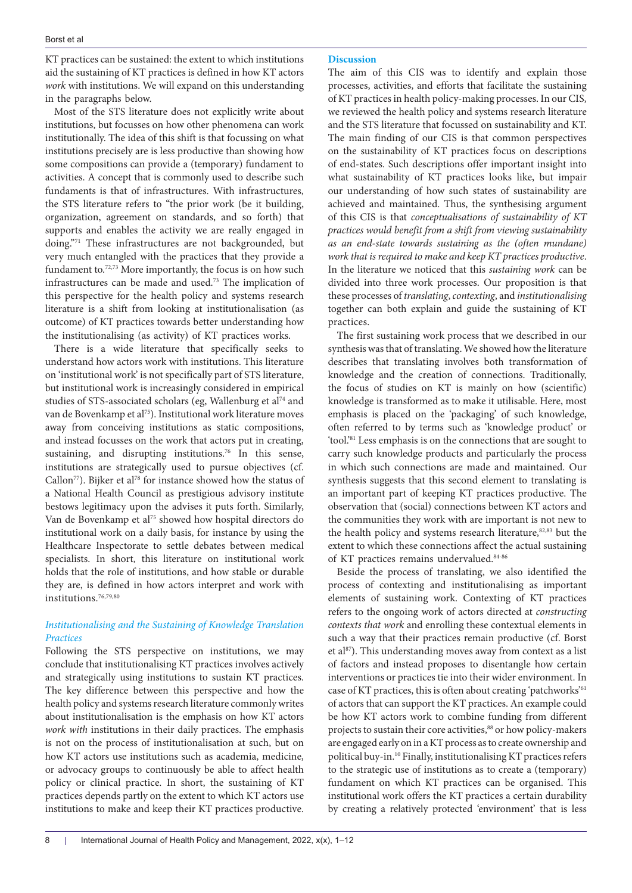KT practices can be sustained: the extent to which institutions aid the sustaining of KT practices is defined in how KT actors *work* with institutions. We will expand on this understanding in the paragraphs below.

Most of the STS literature does not explicitly write about institutions, but focusses on how other phenomena can work institutionally. The idea of this shift is that focussing on what institutions precisely are is less productive than showing how some compositions can provide a (temporary) fundament to activities. A concept that is commonly used to describe such fundaments is that of infrastructures. With infrastructures, the STS literature refers to "the prior work (be it building, organization, agreement on standards, and so forth) that supports and enables the activity we are really engaged in doing."71 These infrastructures are not backgrounded, but very much entangled with the practices that they provide a fundament to.<sup>72,73</sup> More importantly, the focus is on how such infrastructures can be made and used.73 The implication of this perspective for the health policy and systems research literature is a shift from looking at institutionalisation (as outcome) of KT practices towards better understanding how the institutionalising (as activity) of KT practices works.

There is a wide literature that specifically seeks to understand how actors work with institutions. This literature on 'institutional work' is not specifically part of STS literature, but institutional work is increasingly considered in empirical studies of STS-associated scholars (eg, Wallenburg et al<sup>74</sup> and van de Bovenkamp et al<sup>75</sup>). Institutional work literature moves away from conceiving institutions as static compositions, and instead focusses on the work that actors put in creating, sustaining, and disrupting institutions.<sup>76</sup> In this sense, institutions are strategically used to pursue objectives (cf. Callon<sup>77</sup>). Bijker et al<sup>78</sup> for instance showed how the status of a National Health Council as prestigious advisory institute bestows legitimacy upon the advises it puts forth. Similarly, Van de Bovenkamp et al<sup>75</sup> showed how hospital directors do institutional work on a daily basis, for instance by using the Healthcare Inspectorate to settle debates between medical specialists. In short, this literature on institutional work holds that the role of institutions, and how stable or durable they are, is defined in how actors interpret and work with institutions.76,79,80

# *Institutionalising and the Sustaining of Knowledge Translation Practices*

Following the STS perspective on institutions, we may conclude that institutionalising KT practices involves actively and strategically using institutions to sustain KT practices. The key difference between this perspective and how the health policy and systems research literature commonly writes about institutionalisation is the emphasis on how KT actors *work with* institutions in their daily practices. The emphasis is not on the process of institutionalisation at such, but on how KT actors use institutions such as academia, medicine, or advocacy groups to continuously be able to affect health policy or clinical practice. In short, the sustaining of KT practices depends partly on the extent to which KT actors use institutions to make and keep their KT practices productive.

#### **Discussion**

The aim of this CIS was to identify and explain those processes, activities, and efforts that facilitate the sustaining of KT practices in health policy-making processes. In our CIS, we reviewed the health policy and systems research literature and the STS literature that focussed on sustainability and KT. The main finding of our CIS is that common perspectives on the sustainability of KT practices focus on descriptions of end-states. Such descriptions offer important insight into what sustainability of KT practices looks like, but impair our understanding of how such states of sustainability are achieved and maintained. Thus, the synthesising argument of this CIS is that *conceptualisations of sustainability of KT practices would benefit from a shift from viewing sustainability as an end-state towards sustaining as the (often mundane) work that is required to make and keep KT practices productive*. In the literature we noticed that this *sustaining work* can be divided into three work processes. Our proposition is that these processes of *translating*, *contexting*, and *institutionalising* together can both explain and guide the sustaining of KT practices.

The first sustaining work process that we described in our synthesis was that of translating. We showed how the literature describes that translating involves both transformation of knowledge and the creation of connections. Traditionally, the focus of studies on KT is mainly on how (scientific) knowledge is transformed as to make it utilisable. Here, most emphasis is placed on the 'packaging' of such knowledge, often referred to by terms such as 'knowledge product' or 'tool.'81 Less emphasis is on the connections that are sought to carry such knowledge products and particularly the process in which such connections are made and maintained. Our synthesis suggests that this second element to translating is an important part of keeping KT practices productive. The observation that (social) connections between KT actors and the communities they work with are important is not new to the health policy and systems research literature,<sup>82,83</sup> but the extent to which these connections affect the actual sustaining of KT practices remains undervalued.84-86

Beside the process of translating, we also identified the process of contexting and institutionalising as important elements of sustaining work. Contexting of KT practices refers to the ongoing work of actors directed at *constructing contexts that work* and enrolling these contextual elements in such a way that their practices remain productive (cf. Borst et al $^{87}$ ). This understanding moves away from context as a list of factors and instead proposes to disentangle how certain interventions or practices tie into their wider environment. In case of KT practices, this is often about creating 'patchworks'<sup>61</sup> of actors that can support the KT practices. An example could be how KT actors work to combine funding from different projects to sustain their core activities,<sup>88</sup> or how policy-makers are engaged early on in a KT process as to create ownership and political buy-in.10 Finally, institutionalising KT practices refers to the strategic use of institutions as to create a (temporary) fundament on which KT practices can be organised. This institutional work offers the KT practices a certain durability by creating a relatively protected 'environment' that is less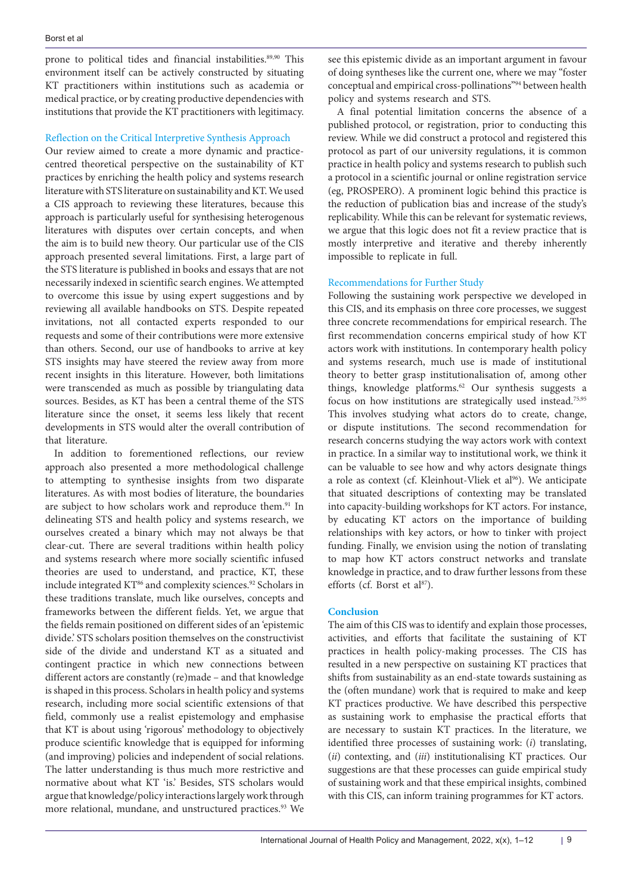prone to political tides and financial instabilities.<sup>89,90</sup> This environment itself can be actively constructed by situating KT practitioners within institutions such as academia or medical practice, or by creating productive dependencies with institutions that provide the KT practitioners with legitimacy.

## Reflection on the Critical Interpretive Synthesis Approach

Our review aimed to create a more dynamic and practicecentred theoretical perspective on the sustainability of KT practices by enriching the health policy and systems research literature with STS literature on sustainability and KT. We used a CIS approach to reviewing these literatures, because this approach is particularly useful for synthesising heterogenous literatures with disputes over certain concepts, and when the aim is to build new theory. Our particular use of the CIS approach presented several limitations. First, a large part of the STS literature is published in books and essays that are not necessarily indexed in scientific search engines. We attempted to overcome this issue by using expert suggestions and by reviewing all available handbooks on STS. Despite repeated invitations, not all contacted experts responded to our requests and some of their contributions were more extensive than others. Second, our use of handbooks to arrive at key STS insights may have steered the review away from more recent insights in this literature. However, both limitations were transcended as much as possible by triangulating data sources. Besides, as KT has been a central theme of the STS literature since the onset, it seems less likely that recent developments in STS would alter the overall contribution of that literature.

In addition to forementioned reflections, our review approach also presented a more methodological challenge to attempting to synthesise insights from two disparate literatures. As with most bodies of literature, the boundaries are subject to how scholars work and reproduce them.<sup>91</sup> In delineating STS and health policy and systems research, we ourselves created a binary which may not always be that clear-cut. There are several traditions within health policy and systems research where more socially scientific infused theories are used to understand, and practice, KT, these include integrated KT<sup>86</sup> and complexity sciences.<sup>92</sup> Scholars in these traditions translate, much like ourselves, concepts and frameworks between the different fields. Yet, we argue that the fields remain positioned on different sides of an 'epistemic divide.' STS scholars position themselves on the constructivist side of the divide and understand KT as a situated and contingent practice in which new connections between different actors are constantly (re)made – and that knowledge is shaped in this process. Scholars in health policy and systems research, including more social scientific extensions of that field, commonly use a realist epistemology and emphasise that KT is about using 'rigorous' methodology to objectively produce scientific knowledge that is equipped for informing (and improving) policies and independent of social relations. The latter understanding is thus much more restrictive and normative about what KT 'is.' Besides, STS scholars would argue that knowledge/policy interactions largely work through more relational, mundane, and unstructured practices.<sup>93</sup> We

see this epistemic divide as an important argument in favour of doing syntheses like the current one, where we may "foster conceptual and empirical cross-pollinations"94 between health policy and systems research and STS.

A final potential limitation concerns the absence of a published protocol, or registration, prior to conducting this review. While we did construct a protocol and registered this protocol as part of our university regulations, it is common practice in health policy and systems research to publish such a protocol in a scientific journal or online registration service (eg, PROSPERO). A prominent logic behind this practice is the reduction of publication bias and increase of the study's replicability. While this can be relevant for systematic reviews, we argue that this logic does not fit a review practice that is mostly interpretive and iterative and thereby inherently impossible to replicate in full.

## Recommendations for Further Study

Following the sustaining work perspective we developed in this CIS, and its emphasis on three core processes, we suggest three concrete recommendations for empirical research. The first recommendation concerns empirical study of how KT actors work with institutions. In contemporary health policy and systems research, much use is made of institutional theory to better grasp institutionalisation of, among other things, knowledge platforms.<sup>62</sup> Our synthesis suggests a focus on how institutions are strategically used instead.75,95 This involves studying what actors do to create, change, or dispute institutions. The second recommendation for research concerns studying the way actors work with context in practice. In a similar way to institutional work, we think it can be valuable to see how and why actors designate things a role as context (cf. Kleinhout-Vliek et al<sup>96</sup>). We anticipate that situated descriptions of contexting may be translated into capacity-building workshops for KT actors. For instance, by educating KT actors on the importance of building relationships with key actors, or how to tinker with project funding. Finally, we envision using the notion of translating to map how KT actors construct networks and translate knowledge in practice, and to draw further lessons from these efforts (cf. Borst et al<sup>87</sup>).

## **Conclusion**

The aim of this CIS was to identify and explain those processes, activities, and efforts that facilitate the sustaining of KT practices in health policy-making processes. The CIS has resulted in a new perspective on sustaining KT practices that shifts from sustainability as an end-state towards sustaining as the (often mundane) work that is required to make and keep KT practices productive. We have described this perspective as sustaining work to emphasise the practical efforts that are necessary to sustain KT practices. In the literature, we identified three processes of sustaining work: (*i*) translating, (*ii*) contexting, and (*iii*) institutionalising KT practices. Our suggestions are that these processes can guide empirical study of sustaining work and that these empirical insights, combined with this CIS, can inform training programmes for KT actors.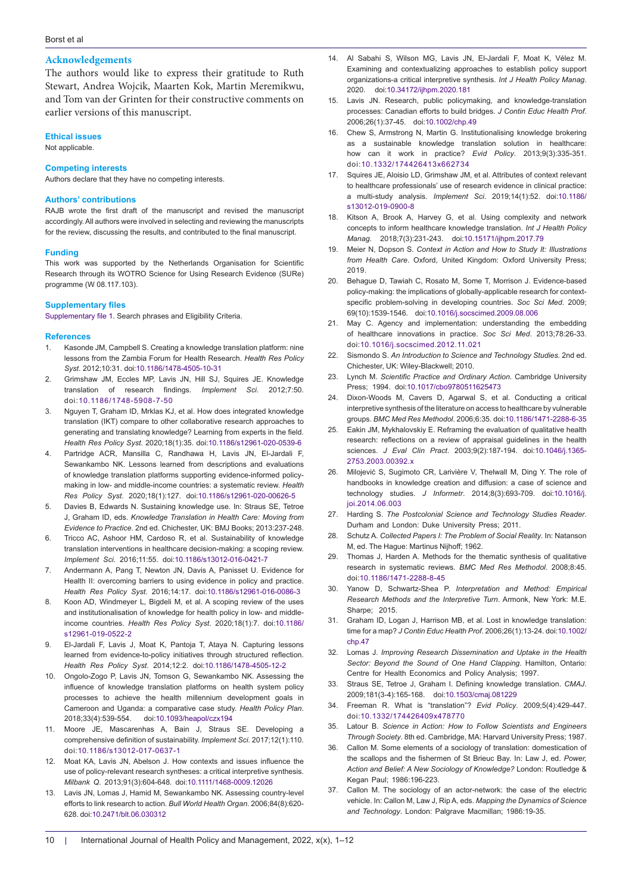### **Acknowledgements**

The authors would like to express their gratitude to Ruth Stewart, Andrea Wojcik, Maarten Kok, Martin Meremikwu, and Tom van der Grinten for their constructive comments on earlier versions of this manuscript.

#### **Ethical issues**

Not applicable.

#### **Competing interests**

Authors declare that they have no competing interests.

#### **Authors' contributions**

RAJB wrote the first draft of the manuscript and revised the manuscript accordingly. All authors were involved in selecting and reviewing the manuscripts for the review, discussing the results, and contributed to the final manuscript.

#### **Funding**

This work was supported by the Netherlands Organisation for Scientific Research through its WOTRO Science for Using Research Evidence (SURe) programme (W 08.117.103).

#### **Supplementary files**

<span id="page-9-0"></span>[Supplementary file 1](https://www.ijhpm.com/jufile?ar_sfile=58594). Search phrases and Eligibility Criteria.

#### **References**

- 1. Kasonde JM, Campbell S. Creating a knowledge translation platform: nine lessons from the Zambia Forum for Health Research. *Health Res Policy Syst*. 2012;10:31. doi[:10.1186/1478-4505-10-31](https://doi.org/10.1186/1478-4505-10-31)
- 2. Grimshaw JM, Eccles MP, Lavis JN, Hill SJ, Squires JE. Knowledge translation of research findings. *Implement Sci*. 2012;7:50. doi:[10.1186/1748-5908-7-50](https://doi.org/10.1186/1748-5908-7-50)
- 3. Nguyen T, Graham ID, Mrklas KJ, et al. How does integrated knowledge translation (IKT) compare to other collaborative research approaches to generating and translating knowledge? Learning from experts in the field. *Health Res Policy Syst*. 2020;18(1):35. doi[:10.1186/s12961-020-0539-6](https://doi.org/10.1186/s12961-020-0539-6)
- 4. Partridge ACR, Mansilla C, Randhawa H, Lavis JN, El-Jardali F, Sewankambo NK. Lessons learned from descriptions and evaluations of knowledge translation platforms supporting evidence-informed policymaking in low- and middle-income countries: a systematic review. *Health Res Policy Syst*. 2020;18(1):127. doi:[10.1186/s12961-020-00626-5](https://doi.org/10.1186/s12961-020-00626-5)
- 5. Davies B, Edwards N. Sustaining knowledge use. In: Straus SE, Tetroe J, Graham ID, eds. *Knowledge Translation in Health Care: Moving from Evidence to Practice*. 2nd ed. Chichester, UK: BMJ Books; 2013:237-248.
- 6. Tricco AC, Ashoor HM, Cardoso R, et al. Sustainability of knowledge translation interventions in healthcare decision-making: a scoping review. *Implement Sci*. 2016;11:55. doi:[10.1186/s13012-016-0421-7](https://doi.org/10.1186/s13012-016-0421-7)
- 7. Andermann A, Pang T, Newton JN, Davis A, Panisset U. Evidence for Health II: overcoming barriers to using evidence in policy and practice. *Health Res Policy Syst*. 2016;14:17. doi[:10.1186/s12961-016-0086-3](https://doi.org/10.1186/s12961-016-0086-3)
- 8. Koon AD, Windmeyer L, Bigdeli M, et al. A scoping review of the uses and institutionalisation of knowledge for health policy in low- and middleincome countries. *Health Res Policy Syst*. 2020;18(1):7. doi:[10.1186/](https://doi.org/10.1186/s12961-019-0522-2) [s12961-019-0522-2](https://doi.org/10.1186/s12961-019-0522-2)
- 9. El-Jardali F, Lavis J, Moat K, Pantoja T, Ataya N. Capturing lessons learned from evidence-to-policy initiatives through structured reflection. *Health Res Policy Syst*. 2014;12:2. doi[:10.1186/1478-4505-12-2](https://doi.org/10.1186/1478-4505-12-2)
- 10. Ongolo-Zogo P, Lavis JN, Tomson G, Sewankambo NK. Assessing the influence of knowledge translation platforms on health system policy processes to achieve the health millennium development goals in Cameroon and Uganda: a comparative case study. *Health Policy Plan*. 2018;33(4):539-554. doi:[10.1093/heapol/czx194](https://doi.org/10.1093/heapol/czx194)
- 11. Moore JE, Mascarenhas A, Bain J, Straus SE. Developing a comprehensive definition of sustainability. *Implement Sci*. 2017;12(1):110. doi:[10.1186/s13012-017-0637-1](https://doi.org/10.1186/s13012-017-0637-1)
- 12. Moat KA, Lavis JN, Abelson J. How contexts and issues influence the use of policy-relevant research syntheses: a critical interpretive synthesis. *Milbank Q*. 2013;91(3):604-648. doi:[10.1111/1468-0009.12026](https://doi.org/10.1111/1468-0009.12026)
- 13. Lavis JN, Lomas J, Hamid M, Sewankambo NK. Assessing country-level efforts to link research to action. *Bull World Health Organ*. 2006;84(8):620- 628. doi:[10.2471/blt.06.030312](https://doi.org/10.2471/blt.06.030312)
- 14. Al Sabahi S, Wilson MG, Lavis JN, El-Jardali F, Moat K, Vélez M. Examining and contextualizing approaches to establish policy support organizations-a critical interpretive synthesis. *Int J Health Policy Manag*. 2020. doi[:10.34172/ijhpm.2020.181](https://doi.org/10.34172/ijhpm.2020.181)
- 15. Lavis JN. Research, public policymaking, and knowledge-translation processes: Canadian efforts to build bridges. *J Contin Educ Health Prof*. 2006;26(1):37-45. doi:[10.1002/chp.49](https://doi.org/10.1002/chp.49)
- 16. Chew S, Armstrong N, Martin G. Institutionalising knowledge brokering as a sustainable knowledge translation solution in healthcare: how can it work in practice? *Evid Policy*. 2013;9(3):335-351. doi:[10.1332/174426413x662734](https://doi.org/10.1332/174426413x662734)
- 17. Squires JE, Aloisio LD, Grimshaw JM, et al. Attributes of context relevant to healthcare professionals' use of research evidence in clinical practice: a multi-study analysis. *Implement Sci*. 2019;14(1):52. doi[:10.1186/](https://doi.org/10.1186/s13012-019-0900-84) [s13012-019-0900-8](https://doi.org/10.1186/s13012-019-0900-84)
- 18. Kitson A, Brook A, Harvey G, et al. Using complexity and network concepts to inform healthcare knowledge translation. *Int J Health Policy Manag*. 2018;7(3):231-243. doi[:10.15171/ijhpm.2017.79](https://doi.org/10.15171/ijhpm.2017.79)
- 19. Meier N, Dopson S. *Context in Action and How to Study It: Illustrations from Health Care*. Oxford, United Kingdom: Oxford University Press; 2019.
- 20. Behague D, Tawiah C, Rosato M, Some T, Morrison J. Evidence-based policy-making: the implications of globally-applicable research for contextspecific problem-solving in developing countries. *Soc Sci Med*. 2009; 69(10):1539-1546. doi[:10.1016/j.socscimed.2009.08.006](https://doi.org/10.1016/j.socscimed.2009.08.006)
- 21. May C. Agency and implementation: understanding the embedding of healthcare innovations in practice. *Soc Sci Med*. 2013;78:26-33. doi:[10.1016/j.socscimed.2012.11.021](https://doi.org/10.1016/j.socscimed.2012.11.021)
- 22. Sismondo S. *An Introduction to Science and Technology Studies*. 2nd ed. Chichester, UK: Wiley-Blackwell; 2010.
- 23. Lynch M. *Scientific Practice and Ordinary Action*. Cambridge University Press; 1994. doi[:10.1017/cbo9780511625473](https://doi.org/10.1017/cbo9780511625473)
- 24. Dixon-Woods M, Cavers D, Agarwal S, et al. Conducting a critical interpretive synthesis of the literature on access to healthcare by vulnerable groups. *BMC Med Res Methodol*. 2006;6:35. doi[:10.1186/1471-2288-6-35](https://doi.org/10.1186/1471-2288-6-353)
- 25. Eakin JM, Mykhalovskiy E. Reframing the evaluation of qualitative health research: reflections on a review of appraisal guidelines in the health sciences. *J Eval Clin Pract*. 2003;9(2):187-194. doi[:10.1046/j.1365-](https://doi.org/10.1046/j.1365-2753.2003.00392.x) [2753.2003.00392.x](https://doi.org/10.1046/j.1365-2753.2003.00392.x)
- 26. Milojević S, Sugimoto CR, Larivière V, Thelwall M, Ding Y. The role of handbooks in knowledge creation and diffusion: a case of science and technology studies. *J Informetr*. 2014;8(3):693-709. doi[:10.1016/j.](https://doi.org/10.1016/j.joi.2014.06.003) [joi.2014.06.003](https://doi.org/10.1016/j.joi.2014.06.003)
- 27. Harding S. *The Postcolonial Science and Technology Studies Reader*. Durham and London: Duke University Press; 2011.
- 28. Schutz A. *Collected Papers I: The Problem of Social Reality*. In: Natanson M, ed. The Hague: Martinus Nijhoff; 1962.
- 29. Thomas J, Harden A. Methods for the thematic synthesis of qualitative research in systematic reviews. *BMC Med Res Methodol*. 2008;8:45. doi:[10.1186/1471-2288-8-45](https://doi.org/10.1186/1471-2288-8-45)
- 30. Yanow D, Schwartz-Shea P. *Interpretation and Method: Empirical Research Methods and the Interpretive Turn*. Armonk, New York: M.E. Sharpe; 2015.
- 31. Graham ID, Logan J, Harrison MB, et al. Lost in knowledge translation: time for a map? *J Contin Educ Health Prof*. 2006;26(1):13-24. doi:10.1002/ chp.47
- 32. Lomas J. *Improving Research Dissemination and Uptake in the Health Sector: Beyond the Sound of One Hand Clapping*. Hamilton, Ontario: Centre for Health Economics and Policy Analysis; 1997.
- 33. Straus SE, Tetroe J, Graham I. Defining knowledge translation. *CMAJ*. 2009;181(3-4):165-168. doi:[10.1503/cmaj.081229](https://doi.org/10.1503/cmaj.081229)
- 34. Freeman R. What is "translation"? *Evid Policy*. 2009;5(4):429-447. doi:[10.1332/174426409x478770](https://doi.org/10.1332/174426409x478770)
- 35. Latour B. *Science in Action: How to Follow Scientists and Engineers Through Society*. 8th ed. Cambridge, MA: Harvard University Press; 1987.
- 36. Callon M. Some elements of a sociology of translation: domestication of the scallops and the fishermen of St Brieuc Bay. In: Law J, ed. *Power, Action and Belief: A New Sociology of Knowledge?* London: Routledge & Kegan Paul; 1986:196-223.
- 37. Callon M. The sociology of an actor-network: the case of the electric vehicle. In: Callon M, Law J, Rip A, eds. *Mapping the Dynamics of Science and Technology*. London: Palgrave Macmillan; 1986:19-35.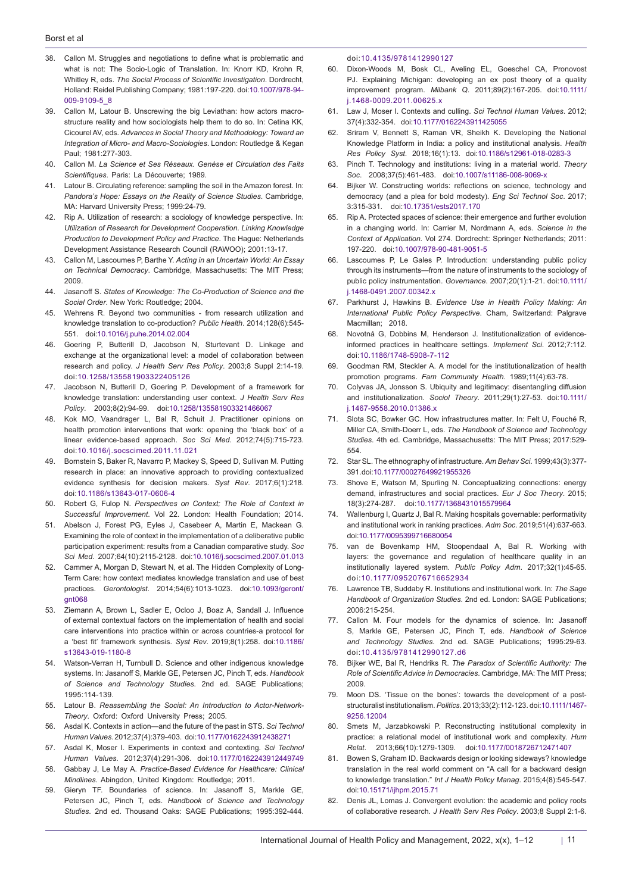- 38. Callon M. Struggles and negotiations to define what is problematic and what is not: The Socio-Logic of Translation. In: Knorr KD, Krohn R, Whitley R, eds. *The Social Process of Scientific Investigation*. Dordrecht, Holland: Reidel Publishing Company; 1981:197-220. doi:[10.1007/978-94-](https://doi.org/10.1007/978-94-009-9109-5_8) [009-9109-5\\_8](https://doi.org/10.1007/978-94-009-9109-5_8)
- 39. Callon M, Latour B. Unscrewing the big Leviathan: how actors macrostructure reality and how sociologists help them to do so. In: Cetina KK, Cicourel AV, eds. *Advances in Social Theory and Methodology: Toward an Integration of Micro- and Macro-Sociologies*. London: Routledge & Kegan Paul; 1981:277-303.
- 40. Callon M. *La Science et Ses Réseaux. Genèse et Circulation des Faits Scientifiques*. Paris: La Découverte; 1989.
- 41. Latour B. Circulating reference: sampling the soil in the Amazon forest. In: *Pandora's Hope: Essays on the Reality of Science Studies*. Cambridge, MA: Harvard University Press; 1999:24-79.
- 42. Rip A. Utilization of research: a sociology of knowledge perspective. In: *Utilization of Research for Development Cooperation. Linking Knowledge Production to Development Policy and Practice*. The Hague: Netherlands Development Assistance Research Council (RAWOO); 2001:13-17.
- 43. Callon M, Lascoumes P, Barthe Y. *Acting in an Uncertain World: An Essay on Technical Democracy*. Cambridge, Massachusetts: The MIT Press; 2009.
- 44. Jasanoff S. *States of Knowledge: The Co-Production of Science and the Social Order*. New York: Routledge; 2004.
- 45. Wehrens R. Beyond two communities from research utilization and knowledge translation to co-production? *Public Health*. 2014;128(6):545- 551. doi:[10.1016/j.puhe.2014.02.004](https://doi.org/10.1016/j.puhe.2014.02.004)
- 46. Goering P, Butterill D, Jacobson N, Sturtevant D. Linkage and exchange at the organizational level: a model of collaboration between research and policy. *J Health Serv Res Policy*. 2003;8 Suppl 2:14-19. doi:[10.1258/135581903322405126](https://doi.org/10.1258/135581903322405126)
- 47. Jacobson N, Butterill D, Goering P. Development of a framework for knowledge translation: understanding user context. *J Health Serv Res Policy*. 2003;8(2):94-99. doi[:10.1258/135581903321466067](https://doi.org/10.1258/135581903321466067)
- 48. Kok MO, Vaandrager L, Bal R, Schuit J. Practitioner opinions on health promotion interventions that work: opening the 'black box' of a linear evidence-based approach. *Soc Sci Med*. 2012;74(5):715-723. doi:[10.1016/j.socscimed.2011.11.021](https://doi.org/10.1016/j.socscimed.2011.11.021)
- 49. Bornstein S, Baker R, Navarro P, Mackey S, Speed D, Sullivan M. Putting research in place: an innovative approach to providing contextualized evidence synthesis for decision makers. *Syst Rev*. 2017;6(1):218. doi:[10.1186/s13643-017-0606-4](https://doi.org/10.1186/s13643-017-0606-4)
- 50. Robert G, Fulop N. *Perspectives on Context; The Role of Context in Successful Improvement*. Vol 22. London: Health Foundation; 2014.
- 51. Abelson J, Forest PG, Eyles J, Casebeer A, Martin E, Mackean G. Examining the role of context in the implementation of a deliberative public participation experiment: results from a Canadian comparative study. *Soc Sci Med*. 2007;64(10):2115-2128. doi:[10.1016/j.socscimed.2007.01.013](https://doi.org/10.1016/j.socscimed.2007.01.013)
- 52. Cammer A, Morgan D, Stewart N, et al. The Hidden Complexity of Long-Term Care: how context mediates knowledge translation and use of best practices. *Gerontologist*. 2014;54(6):1013-1023. doi[:10.1093/geront/](https://doi.org/10.1093/geront/gnt068) [gnt068](https://doi.org/10.1093/geront/gnt068)
- 53. Ziemann A, Brown L, Sadler E, Ocloo J, Boaz A, Sandall J. Influence of external contextual factors on the implementation of health and social care interventions into practice within or across countries-a protocol for a 'best fit' framework synthesis. *Syst Rev*. 2019;8(1):258. doi:[10.1186/](https://doi.org/10.1186/s13643-019-1180-8) [s13643-019-1180-8](https://doi.org/10.1186/s13643-019-1180-8)
- 54. Watson-Verran H, Turnbull D. Science and other indigenous knowledge systems. In: Jasanoff S, Markle GE, Petersen JC, Pinch T, eds. *Handbook of Science and Technology Studies*. 2nd ed. SAGE Publications; 1995:114-139.
- 55. Latour B. *Reassembling the Social: An Introduction to Actor-Network-Theory*. Oxford: Oxford University Press; 2005.
- 56. Asdal K. Contexts in action—and the future of the past in STS. *Sci Technol Human Values*. 2012;37(4):379-403. doi[:10.1177/0162243912438271](https://doi.org/10.1177/0162243912438271)
- 57. Asdal K, Moser I. Experiments in context and contexting. *Sci Technol Human Values*. 2012;37(4):291-306. doi[:10.1177/0162243912449749](https://doi.org/10.1177/0162243912449749)
- 58. Gabbay J, Le May A. *Practice-Based Evidence for Healthcare: Clinical Mindlines*. Abingdon, United Kingdom: Routledge; 2011.
- 59. Gieryn TF. Boundaries of science. In: Jasanoff S, Markle GE, Petersen JC, Pinch T, eds. *Handbook of Science and Technology Studies*. 2nd ed. Thousand Oaks: SAGE Publications; 1995:392-444.

doi:[10.4135/9781412990127](https://doi.org/10.4135/9781412990127)

- 60. Dixon-Woods M, Bosk CL, Aveling EL, Goeschel CA, Pronovost PJ. Explaining Michigan: developing an ex post theory of a quality improvement program. *Milbank Q*. 2011;89(2):167-205. doi[:10.1111/](https://doi.org/10.1111/j.1468-0009.2011.00625.x) [j.1468-0009.2011.00625.x](https://doi.org/10.1111/j.1468-0009.2011.00625.x)
- 61. Law J, Moser I. Contexts and culling. *Sci Technol Human Values*. 2012; 37(4):332-354. doi[:10.1177/0162243911425055](https://doi.org/10.1177/0162243911425055)
- 62. Sriram V, Bennett S, Raman VR, Sheikh K. Developing the National Knowledge Platform in India: a policy and institutional analysis. *Health Res Policy Syst*. 2018;16(1):13. doi[:10.1186/s12961-018-0283-3](https://doi.org/10.1186/s12961-018-0283-3)
- 63. Pinch T. Technology and institutions: living in a material world. *Theory Soc*. 2008;37(5):461-483. doi:[10.1007/s11186-008-9069-x](https://doi.org/10.1007/s11186-008-9069-x)
- 64. Bijker W. Constructing worlds: reflections on science, technology and democracy (and a plea for bold modesty). *Eng Sci Technol Soc*. 2017; 3:315-331. doi:[10.17351/ests2017.170](https://doi.org/10.17351/ests2017.170)
- 65. Rip A. Protected spaces of science: their emergence and further evolution in a changing world. In: Carrier M, Nordmann A, eds. *Science in the Context of Application*. Vol 274. Dordrecht: Springer Netherlands; 2011: 197-220. doi:[10.1007/978-90-481-9051-5](https://doi.org/10.1007/978-90-481-9051-5)
- 66. Lascoumes P, Le Gales P. Introduction: understanding public policy through its instruments—from the nature of instruments to the sociology of public policy instrumentation. *Governance*. 2007;20(1):1-21. doi[:10.1111/](https://doi.org/10.1111/j.1468-0491.2007.00342.x) [j.1468-0491.2007.00342.x](https://doi.org/10.1111/j.1468-0491.2007.00342.x)
- 67. Parkhurst J, Hawkins B. *Evidence Use in Health Policy Making: An International Public Policy Perspective*. Cham, Switzerland: Palgrave Macmillan; 2018.
- 68. Novotná G, Dobbins M, Henderson J. Institutionalization of evidenceinformed practices in healthcare settings. *Implement Sci*. 2012;7:112. doi:[10.1186/1748-5908-7-112](https://doi.org/10.1186/1748-5908-7-112)
- 69. Goodman RM, Steckler A. A model for the institutionalization of health promotion programs. *Fam Community Health*. 1989;11(4):63-78.
- 70. Colyvas JA, Jonsson S. Ubiquity and legitimacy: disentangling diffusion and institutionalization. *Sociol Theory*. 2011;29(1):27-53. doi[:10.1111/](https://doi.org/10.1111/j.1467-9558.2010.01386.x) [j.1467-9558.2010.01386.x](https://doi.org/10.1111/j.1467-9558.2010.01386.x)
- 71. Slota SC, Bowker GC. How infrastructures matter. In: Felt U, Fouché R, Miller CA, Smith-Doerr L, eds. *The Handbook of Science and Technology Studies*. 4th ed. Cambridge, Massachusetts: The MIT Press; 2017:529- 554.
- 72. Star SL. The ethnography of infrastructure. *Am Behav Sci*. 1999;43(3):377- 391. doi:[10.1177/00027649921955326](https://doi.org/10.1177/00027649921955326)
- 73. Shove E, Watson M, Spurling N. Conceptualizing connections: energy demand, infrastructures and social practices. *Eur J Soc Theory*. 2015; 18(3):274-287. doi:[10.1177/1368431015579964](https://doi.org/10.1177/1368431015579964)
- 74. Wallenburg I, Quartz J, Bal R. Making hospitals governable: performativity and institutional work in ranking practices. *Adm Soc*. 2019;51(4):637-663. doi[:10.1177/0095399716680054](https://doi.org/10.1177/0095399716680054)
- 75. van de Bovenkamp HM, Stoopendaal A, Bal R. Working with layers: the governance and regulation of healthcare quality in an institutionally layered system. *Public Policy Adm*. 2017;32(1):45-65. doi:[10.1177/0952076716652934](https://doi.org/10.1177/0952076716652934)
- 76. Lawrence TB, Suddaby R. Institutions and institutional work. In: *The Sage Handbook of Organization Studies*. 2nd ed. London: SAGE Publications; 2006:215-254.
- 77. Callon M. Four models for the dynamics of science. In: Jasanoff S, Markle GE, Petersen JC, Pinch T, eds. *Handbook of Science and Technology Studies*. 2nd ed. SAGE Publications; 1995:29-63. doi:[10.4135/9781412990127.d6](https://doi.org/10.4135/9781412990127.d6)
- 78. Bijker WE, Bal R, Hendriks R. *The Paradox of Scientific Authority: The Role of Scientific Advice in Democracies*. Cambridge, MA: The MIT Press; 2009.
- 79. Moon DS. 'Tissue on the bones': towards the development of a poststructuralist institutionalism. *Politics*. 2013;33(2):112-123. doi[:10.1111/1467-](https://doi.org/10.1111/1467-9256.12004) [9256.12004](https://doi.org/10.1111/1467-9256.12004)
- 80. Smets M, Jarzabkowski P. Reconstructing institutional complexity in practice: a relational model of institutional work and complexity. *Hum Relat*. 2013;66(10):1279-1309. doi:[10.1177/0018726712471407](https://doi.org/10.1177/0018726712471407)
- 81. Bowen S, Graham ID. Backwards design or looking sideways? knowledge translation in the real world comment on "A call for a backward design to knowledge translation." *Int J Health Policy Manag*. 2015;4(8):545-547. doi[:10.15171/ijhpm.2015.71](https://doi.org/10.15171/ijhpm.2015.71)
- Denis JL, Lomas J. Convergent evolution: the academic and policy roots of collaborative research. *J Health Serv Res Policy*. 2003;8 Suppl 2:1-6.